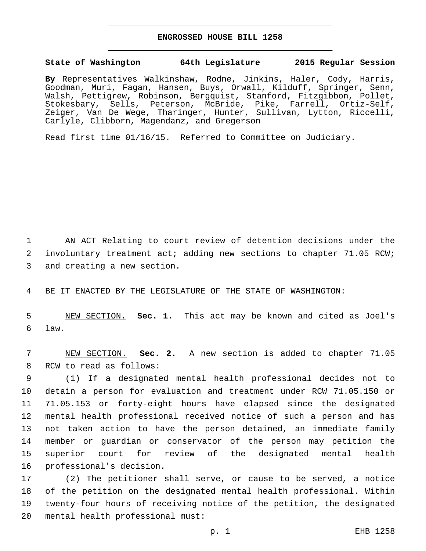## **ENGROSSED HOUSE BILL 1258**

## **State of Washington 64th Legislature 2015 Regular Session**

**By** Representatives Walkinshaw, Rodne, Jinkins, Haler, Cody, Harris, Goodman, Muri, Fagan, Hansen, Buys, Orwall, Kilduff, Springer, Senn, Walsh, Pettigrew, Robinson, Bergquist, Stanford, Fitzgibbon, Pollet, Stokesbary, Sells, Peterson, McBride, Pike, Farrell, Ortiz-Self, Zeiger, Van De Wege, Tharinger, Hunter, Sullivan, Lytton, Riccelli, Carlyle, Clibborn, Magendanz, and Gregerson

Read first time 01/16/15. Referred to Committee on Judiciary.

1 AN ACT Relating to court review of detention decisions under the 2 involuntary treatment act; adding new sections to chapter 71.05 RCW; 3 and creating a new section.

4 BE IT ENACTED BY THE LEGISLATURE OF THE STATE OF WASHINGTON:

5 NEW SECTION. **Sec. 1.** This act may be known and cited as Joel's 6 law.

7 NEW SECTION. **Sec. 2.** A new section is added to chapter 71.05 8 RCW to read as follows:

 (1) If a designated mental health professional decides not to detain a person for evaluation and treatment under RCW 71.05.150 or 71.05.153 or forty-eight hours have elapsed since the designated mental health professional received notice of such a person and has not taken action to have the person detained, an immediate family member or guardian or conservator of the person may petition the superior court for review of the designated mental health 16 professional's decision.

 (2) The petitioner shall serve, or cause to be served, a notice of the petition on the designated mental health professional. Within twenty-four hours of receiving notice of the petition, the designated 20 mental health professional must: